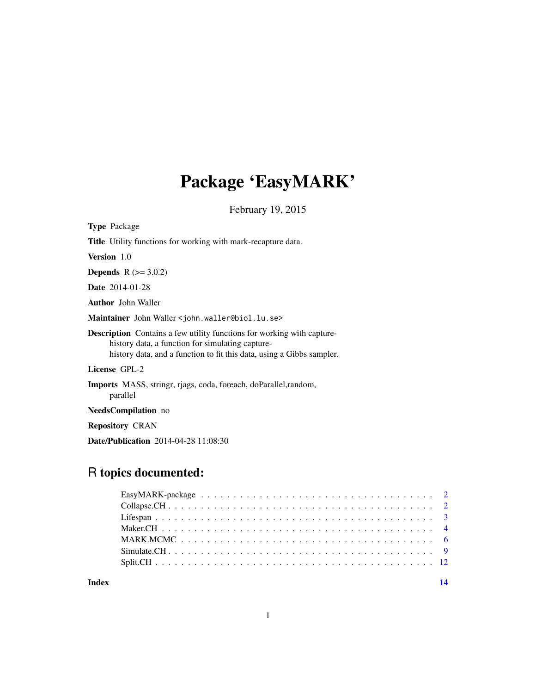# Package 'EasyMARK'

February 19, 2015

| <b>Type Package</b>                                                                                                                                                                                        |
|------------------------------------------------------------------------------------------------------------------------------------------------------------------------------------------------------------|
| <b>Title</b> Utility functions for working with mark-recapture data.                                                                                                                                       |
| <b>Version</b> 1.0                                                                                                                                                                                         |
| <b>Depends</b> $R (= 3.0.2)$                                                                                                                                                                               |
| <b>Date</b> 2014-01-28                                                                                                                                                                                     |
| <b>Author</b> John Waller                                                                                                                                                                                  |
| Maintainer John Waller < john. waller@biol.lu.se>                                                                                                                                                          |
| <b>Description</b> Contains a few utility functions for working with capture-<br>history data, a function for simulating capture-<br>history data, and a function to fit this data, using a Gibbs sampler. |
| License GPL-2                                                                                                                                                                                              |
| Imports MASS, stringr, rjags, coda, foreach, doParallel, random,<br>parallel                                                                                                                               |
| <b>NeedsCompilation</b> no                                                                                                                                                                                 |

Repository CRAN

Date/Publication 2014-04-28 11:08:30

# R topics documented:

| Index | 14 |
|-------|----|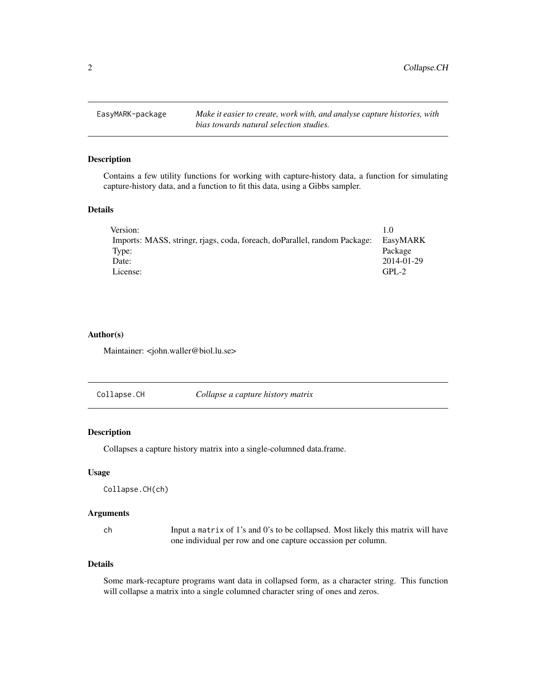<span id="page-1-0"></span>2 Collapse.CH

EasyMARK-package *Make it easier to create, work with, and analyse capture histories, with bias towards natural selection studies.*

# Description

Contains a few utility functions for working with capture-history data, a function for simulating capture-history data, and a function to fit this data, using a Gibbs sampler.

# Details

| Version:                                                                  | 1.0        |
|---------------------------------------------------------------------------|------------|
| Imports: MASS, stringr, rjags, coda, foreach, doParallel, random Package: | EasyMARK   |
| Type:                                                                     | Package    |
| Date:                                                                     | 2014-01-29 |
| License:                                                                  | $GPI - 2$  |

# Author(s)

Maintainer: <john.waller@biol.lu.se>

<span id="page-1-1"></span>

| Collapse.CH | Collapse a capture history matrix |  |
|-------------|-----------------------------------|--|
|             |                                   |  |

#### Description

Collapses a capture history matrix into a single-columned data.frame.

# Usage

```
Collapse.CH(ch)
```
#### Arguments

ch Input a matrix of 1's and 0's to be collapsed. Most likely this matrix will have one individual per row and one capture occassion per column.

# Details

Some mark-recapture programs want data in collapsed form, as a character string. This function will collapse a matrix into a single columned character sring of ones and zeros.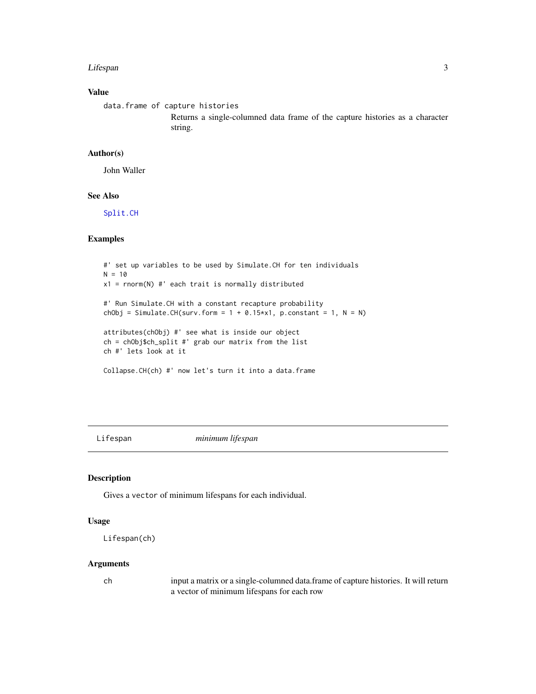#### <span id="page-2-0"></span>Lifespan 3

# Value

```
data.frame of capture histories
                 Returns a single-columned data frame of the capture histories as a character
                 string.
```
#### Author(s)

John Waller

# See Also

[Split.CH](#page-11-1)

# Examples

```
#' set up variables to be used by Simulate.CH for ten individuals
N = 10x1 = rnorm(N) #' each trait is normally distributed
#' Run Simulate.CH with a constant recapture probability
chObj = Simulate.CH(surv.form = 1 + 0.15*x1, p.constant = 1, N = N)
attributes(chObj) #' see what is inside our object
ch = chObj$ch_split #' grab our matrix from the list
ch #' lets look at it
Collapse.CH(ch) #' now let's turn it into a data.frame
```
Lifespan *minimum lifespan*

# Description

Gives a vector of minimum lifespans for each individual.

# Usage

```
Lifespan(ch)
```
# Arguments

ch input a matrix or a single-columned data.frame of capture histories. It will return a vector of minimum lifespans for each row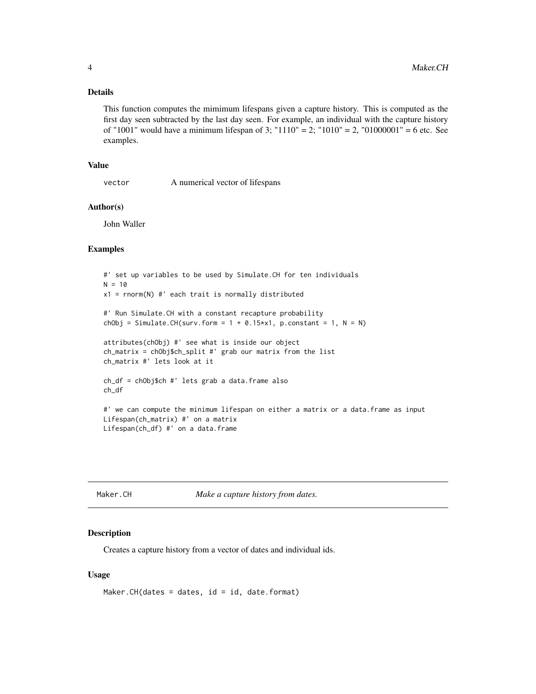# <span id="page-3-0"></span>Details

This function computes the mimimum lifespans given a capture history. This is computed as the first day seen subtracted by the last day seen. For example, an individual with the capture history of "1001" would have a minimum lifespan of 3; "1110" = 2; "1010" = 2, "01000001" = 6 etc. See examples.

# Value

vector A numerical vector of lifespans

#### Author(s)

John Waller

# Examples

```
#' set up variables to be used by Simulate.CH for ten individuals
N = 10x1 = rnorm(N) #' each trait is normally distributed
#' Run Simulate.CH with a constant recapture probability
chObj = Simulate.CH(surv.form = 1 + 0.15*x1, p.constant = 1, N = N)
attributes(chObj) #' see what is inside our object
ch_matrix = chObj$ch_split #' grab our matrix from the list
ch_matrix #' lets look at it
ch_df = chObj$ch #' lets grab a data.frame also
ch_df
#' we can compute the minimum lifespan on either a matrix or a data.frame as input
Lifespan(ch_matrix) #' on a matrix
Lifespan(ch_df) #' on a data.frame
```
Maker.CH *Make a capture history from dates.*

#### Description

Creates a capture history from a vector of dates and individual ids.

#### Usage

```
Maker.CH(dates = dates, id = id, date.format)
```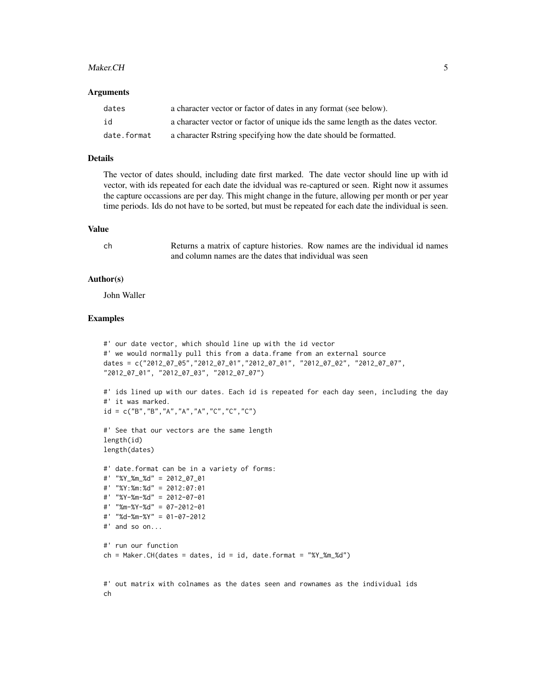#### Maker.CH 5

#### **Arguments**

| dates       | a character vector or factor of dates in any format (see below).                |
|-------------|---------------------------------------------------------------------------------|
| id          | a character vector or factor of unique ids the same length as the dates vector. |
| date.format | a character Rstring specifying how the date should be formatted.                |

# Details

The vector of dates should, including date first marked. The date vector should line up with id vector, with ids repeated for each date the idvidual was re-captured or seen. Right now it assumes the capture occassions are per day. This might change in the future, allowing per month or per year time periods. Ids do not have to be sorted, but must be repeated for each date the individual is seen.

#### Value

ch Returns a matrix of capture histories. Row names are the individual id names and column names are the dates that individual was seen

# Author(s)

John Waller

```
#' our date vector, which should line up with the id vector
#' we would normally pull this from a data.frame from an external source
dates = c("2012_07_05","2012_07_01","2012_07_01", "2012_07_02", "2012_07_07",
"2012_07_01", "2012_07_03", "2012_07_07")
#' ids lined up with our dates. Each id is repeated for each day seen, including the day
#' it was marked.
id = c("B", "B", "A", "A", "A", "C", "C", "C", "C")#' See that our vectors are the same length
length(id)
length(dates)
#' date.format can be in a variety of forms:
#' "%Y_%m_%d" = 2012_07_01
#' "%Y:%m:%d" = 2012:07:01
#' "%Y-%m-%d" = 2012-07-01
#' "%m-%Y-%d" = 07-2012-01
#' "%d-%m-%Y" = 01-07-2012
#' and so on...
#' run our function
ch = Maker.CH(dates = dates, id = id, date.format = "%Y__\%m__\%d")#' out matrix with colnames as the dates seen and rownames as the individual ids
ch
```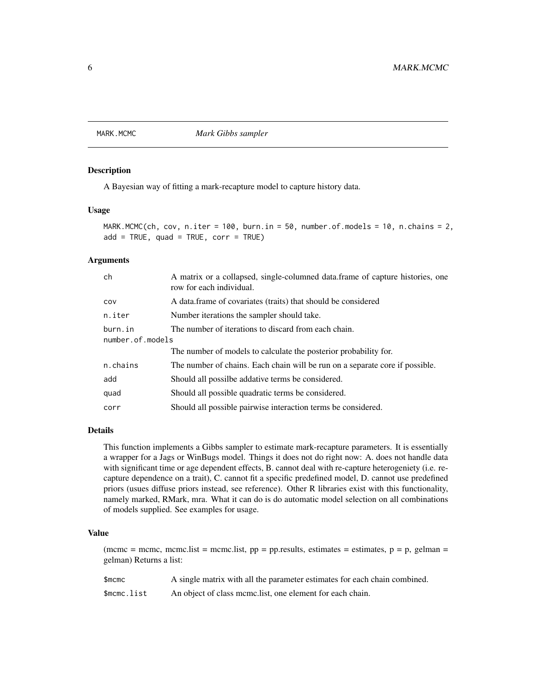<span id="page-5-0"></span>MARK.MCMC *Mark Gibbs sampler*

#### Description

A Bayesian way of fitting a mark-recapture model to capture history data.

#### Usage

```
MARK.MCMC(ch, cov, n.iter = 100, burn.in = 50, number.of.models = 10, n.chains = 2,
add = TRUE, quad = TRUE, corr = TRUE)
```
# Arguments

| ch                          | A matrix or a collapsed, single-columned data.frame of capture histories, one<br>row for each individual. |
|-----------------------------|-----------------------------------------------------------------------------------------------------------|
| COV                         | A data frame of covariates (traits) that should be considered                                             |
| n.iter                      | Number iterations the sampler should take.                                                                |
| burn.in<br>number.of.models | The number of iterations to discard from each chain.                                                      |
|                             | The number of models to calculate the posterior probability for.                                          |
| n.chains                    | The number of chains. Each chain will be run on a separate core if possible.                              |
| add                         | Should all possilbe addative terms be considered.                                                         |
| quad                        | Should all possible quadratic terms be considered.                                                        |
| corr                        | Should all possible pairwise interaction terms be considered.                                             |
|                             |                                                                                                           |

#### Details

This function implements a Gibbs sampler to estimate mark-recapture parameters. It is essentially a wrapper for a Jags or WinBugs model. Things it does not do right now: A. does not handle data with significant time or age dependent effects, B. cannot deal with re-capture heterogeniety (i.e. recapture dependence on a trait), C. cannot fit a specific predefined model, D. cannot use predefined priors (usues diffuse priors instead, see reference). Other R libraries exist with this functionality, namely marked, RMark, mra. What it can do is do automatic model selection on all combinations of models supplied. See examples for usage.

#### Value

(mcmc = mcmc, mcmc.list = mcmc.list,  $pp = pp$ .results, estimates = estimates,  $p = p$ , gelman = gelman) Returns a list:

| $$$ mcmc    | A single matrix with all the parameter estimates for each chain combined. |
|-------------|---------------------------------------------------------------------------|
| \$mcmc.list | An object of class mcmc.list, one element for each chain.                 |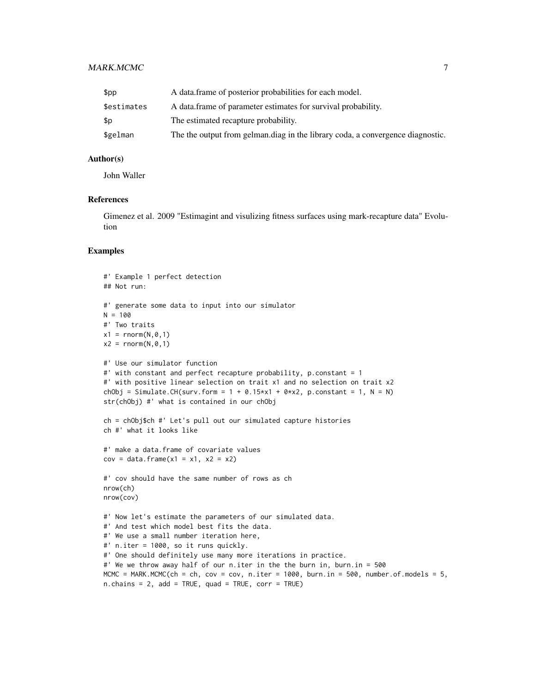# MARK.MCMC 7 and 3 and 3 and 3 and 3 and 3 and 3 and 3 and 3 and 3 and 3 and 3 and 3 and 3 and 3 and 3 and 3 and 3 and 3 and 3 and 3 and 3 and 3 and 3 and 3 and 3 and 3 and 3 and 3 and 3 and 3 and 3 and 3 and 3 and 3 and 3

| \$pp        | A data frame of posterior probabilities for each model.                        |
|-------------|--------------------------------------------------------------------------------|
| \$estimates | A data frame of parameter estimates for survival probability.                  |
| \$p         | The estimated recapture probability.                                           |
| \$gelman    | The the output from gelman.diag in the library coda, a convergence diagnostic. |

# Author(s)

John Waller

#### **References**

Gimenez et al. 2009 "Estimagint and visulizing fitness surfaces using mark-recapture data" Evolution

```
#' Example 1 perfect detection
## Not run:
#' generate some data to input into our simulator
N = 100#' Two traits
x1 = \text{rnorm}(N, 0, 1)x2 = \text{rnorm}(N, \emptyset, 1)#' Use our simulator function
#' with constant and perfect recapture probability, p.constant = 1
#' with positive linear selection on trait x1 and no selection on trait x2
chObj = Simulate.CH(surv.form = 1 + 0.15*x1 + 0*x2, p.constant = 1, N = N)
str(chObj) #' what is contained in our chObj
ch = chObj$ch #' Let's pull out our simulated capture histories
ch #' what it looks like
#' make a data.frame of covariate values
cov = data. frame(x1 = x1, x2 = x2)
#' cov should have the same number of rows as ch
nrow(ch)
nrow(cov)
#' Now let's estimate the parameters of our simulated data.
#' And test which model best fits the data.
#' We use a small number iteration here,
#' n.iter = 1000, so it runs quickly.
#' One should definitely use many more iterations in practice.
#' We we throw away half of our n.iter in the the burn in, burn.in = 500
MCMC = MARK.MCMC(ch = ch, cov = cov, n.iter = 1000, burn.in = 500, number.of.models = 5,
n.chains = 2, add = TRUE, quad = TRUE, corr = TRUE)
```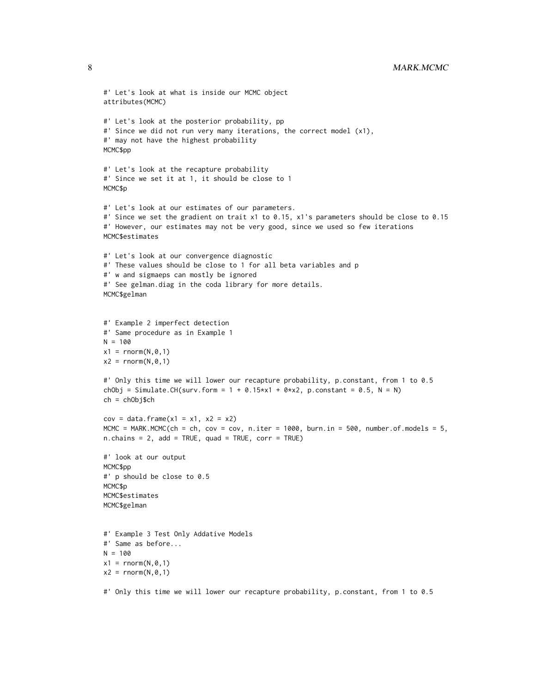```
#' Let's look at what is inside our MCMC object
attributes(MCMC)
#' Let's look at the posterior probability, pp
#' Since we did not run very many iterations, the correct model (x1),
#' may not have the highest probability
MCMC$pp
#' Let's look at the recapture probability
#' Since we set it at 1, it should be close to 1
MCMC$p
#' Let's look at our estimates of our parameters.
#' Since we set the gradient on trait x1 to 0.15, x1's parameters should be close to 0.15
#' However, our estimates may not be very good, since we used so few iterations
MCMC$estimates
#' Let's look at our convergence diagnostic
#' These values should be close to 1 for all beta variables and p
#' w and sigmaeps can mostly be ignored
#' See gelman.diag in the coda library for more details.
MCMC$gelman
#' Example 2 imperfect detection
#' Same procedure as in Example 1
N = 100x1 = \text{rnorm}(N, \emptyset, 1)x2 = \text{rnorm}(N, \emptyset, 1)#' Only this time we will lower our recapture probability, p.constant, from 1 to 0.5
chObj = Simulate.CH(surv.form = 1 + 0.15*x1 + 0*x2, p.constant = 0.5, N = N)
ch = chObj$ch
cov = data. frame(x1 = x1, x2 = x2)
MCMC = MARK.MCMC(ch = ch, cov = cov, n.iter = 1000, burn.in = 500, number.of.models = 5,
n.chains = 2, add = TRUE, quad = TRUE, corr = TRUE)
#' look at our output
MCMC$pp
#' p should be close to 0.5
MCMC$p
MCMC$estimates
MCMC$gelman
#' Example 3 Test Only Addative Models
#' Same as before...
N = 100x1 = \text{rnorm}(N, \emptyset, 1)x2 = \text{norm}(N, \emptyset, 1)#' Only this time we will lower our recapture probability, p.constant, from 1 to 0.5
```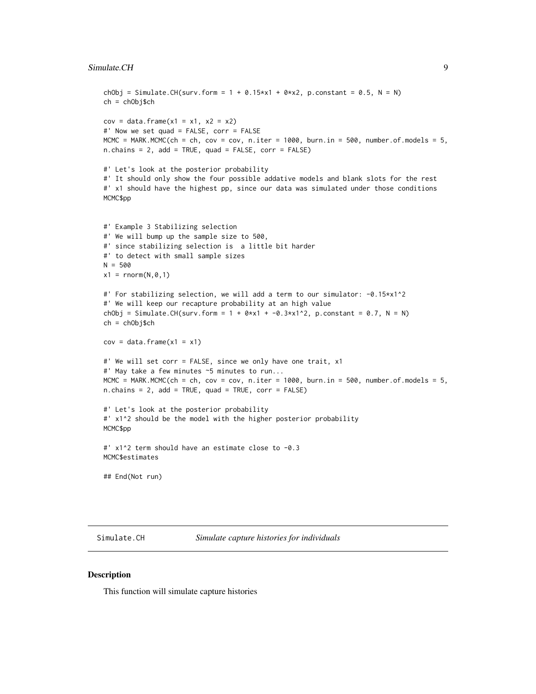#### <span id="page-8-0"></span>Simulate.CH 9

```
chObj = Simulate.CH(surv.form = 1 + 0.15 \times x1 + 0 \times x2, p.constant = 0.5, N = N)
ch = chObj$ch
cov = data. frame(x1 = x1, x2 = x2)
#' Now we set quad = FALSE, corr = FALSE
MCMC = MARK.MCMC(ch = ch, cov = cov, n.iter = 1000, burn.in = 500, number.of.models = 5,
n.chains = 2, add = TRUE, quad = FALSE, corr = FALSE)
#' Let's look at the posterior probability
#' It should only show the four possible addative models and blank slots for the rest
#' x1 should have the highest pp, since our data was simulated under those conditions
MCMC$pp
#' Example 3 Stabilizing selection
#' We will bump up the sample size to 500,
#' since stabilizing selection is a little bit harder
#' to detect with small sample sizes
N = 500x1 = \text{rnorm}(N, \emptyset, 1)#' For stabilizing selection, we will add a term to our simulator: -0.15*x1^2
#' We will keep our recapture probability at an high value
chObj = Simulate.CH(surv.form = 1 + 0 \times x1 + -0.3 \times x1^2, p.constant = 0.7, N = N)
ch = chObj$ch
cov = data.frame(x1 = x1)#' We will set corr = FALSE, since we only have one trait, x1
#' May take a few minutes ~5 minutes to run...
MCMC = MARK.MCMC(ch = ch, cov = cov, n.iter = 1000, burn.in = 500, number.of.models = 5,
n.chains = 2, add = TRUE, quad = TRUE, corr = FALSE)
#' Let's look at the posterior probability
#' x1^2 should be the model with the higher posterior probability
MCMC$pp
#' x1^2 term should have an estimate close to -0.3
MCMC$estimates
## End(Not run)
```
Simulate.CH *Simulate capture histories for individuals*

#### **Description**

This function will simulate capture histories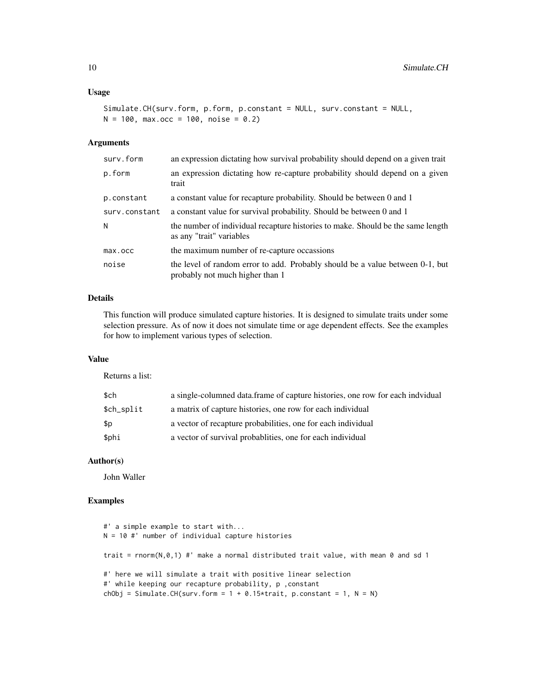# Usage

```
Simulate.CH(surv.form, p.form, p.constant = NULL, surv.constant = NULL,
N = 100, max.occ = 100, noise = 0.2)
```
# Arguments

| surv.form     | an expression dictating how survival probability should depend on a given trait                                  |
|---------------|------------------------------------------------------------------------------------------------------------------|
| p.form        | an expression dictating how re-capture probability should depend on a given<br>trait                             |
| p.constant    | a constant value for recapture probability. Should be between 0 and 1                                            |
| surv.constant | a constant value for survival probability. Should be between 0 and 1                                             |
| N             | the number of individual recapture histories to make. Should be the same length<br>as any "trait" variables      |
| max.occ       | the maximum number of re-capture occassions                                                                      |
| noise         | the level of random error to add. Probably should be a value between 0-1, but<br>probably not much higher than 1 |

# Details

This function will produce simulated capture histories. It is designed to simulate traits under some selection pressure. As of now it does not simulate time or age dependent effects. See the examples for how to implement various types of selection.

# Value

Returns a list:

| \$ch       | a single-columned data.frame of capture histories, one row for each indvidual |
|------------|-------------------------------------------------------------------------------|
| \$ch_split | a matrix of capture histories, one row for each individual                    |
| \$p        | a vector of recapture probabilities, one for each individual                  |
| \$phi      | a vector of survival probabilities, one for each individual                   |

# Author(s)

John Waller

```
#' a simple example to start with...
N = 10 #' number of individual capture histories
trait = rnorm(N, \theta, 1) #' make a normal distributed trait value, with mean \theta and sd 1
#' here we will simulate a trait with positive linear selection
#' while keeping our recapture probability, p ,constant
chObj = Simulate.CH(surv.form = 1 + 0.15*trait, p.constant = 1, N = N)
```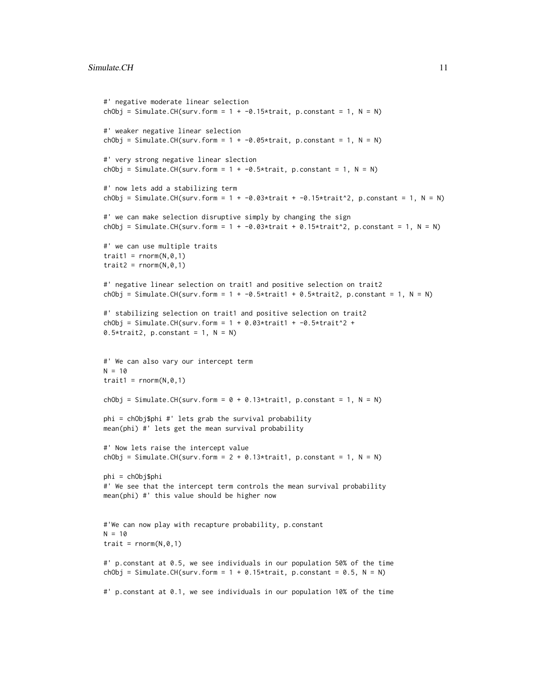```
#' negative moderate linear selection
chObj = Simulate.CH(surv.form = 1 + -0.15*trait, p.constant = 1, N = N)
#' weaker negative linear selection
chObj = Simulate.CH(surv.form = 1 + -0.05*trait, p.constant = 1, N = N)
#' very strong negative linear slection
chObj = Simulate.CH(surv.form = 1 + -0.5*trait, p.constant = 1, N = N)
#' now lets add a stabilizing term
chObj = Simulate.CH(surv.form = 1 + -0.03*trait + -0.15*trait<sup>^2</sup>, p.constant = 1, N = N)
#' we can make selection disruptive simply by changing the sign
chObj = Simulate.CH(surv.form = 1 + -0.03*trait + 0.15*trait^2, p.constant = 1, N = N)
#' we can use multiple traits
trait1 = rnorm(N, 0, 1)trait2 = rnorm(N, 0, 1)#' negative linear selection on trait1 and positive selection on trait2
chObj = Simulate.CH(surv.form = 1 + -0.5 \times \text{trait1} + 0.5 \times \text{trait2}, p.constant = 1, N = N)
#' stabilizing selection on trait1 and positive selection on trait2
chObj = Simulate.CH(surv.form = 1 + 0.03*trait1 + -0.5*trait^2 +
0.5*trait2, p.constant = 1, N = N)
#' We can also vary our intercept term
N = 10trait1 = rnorm(N, 0, 1)chObj = Simulate.CH(surv.form = 0 + 0.13*trait1, p.constant = 1, N = N)
phi = chObj$phi #' lets grab the survival probability
mean(phi) #' lets get the mean survival probability
#' Now lets raise the intercept value
chObj = Simulate.CH(surv.form = 2 + 0.13*trait1, p.constant = 1, N = N)
phi = chObj$phi
#' We see that the intercept term controls the mean survival probability
mean(phi) #' this value should be higher now
#'We can now play with recapture probability, p.constant
N = 10trait = rnorm(N, \emptyset, 1)#' p.constant at 0.5, we see individuals in our population 50% of the time
chObj = Simulate.CH(surv.form = 1 + 0.15*trait, p.constant = 0.5, N = N)
#' p.constant at 0.1, we see individuals in our population 10% of the time
```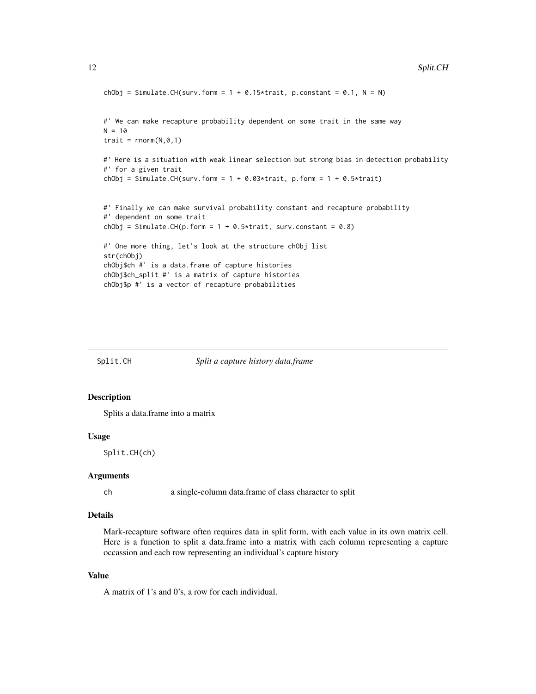```
chObj = Simulate.CH(surv.form = 1 + 0.15*trait, p.constant = 0.1, N = N)
#' We can make recapture probability dependent on some trait in the same way
N = 10trait = rnorm(N, 0, 1)#' Here is a situation with weak linear selection but strong bias in detection probability
#' for a given trait
chObj = Simulate.CH(surv.form = 1 + 0.03*trait, p.form = 1 + 0.5*trait)
#' Finally we can make survival probability constant and recapture probability
#' dependent on some trait
chObj = Simulate.CH(p.form = 1 + 0.5*trait, surv.constant = 0.8)
#' One more thing, let's look at the structure chObj list
str(chObj)
chObj$ch #' is a data.frame of capture histories
chObj$ch_split #' is a matrix of capture histories
chObj$p #' is a vector of recapture probabilities
```
<span id="page-11-1"></span>Split.CH *Split a capture history data.frame*

#### Description

Splits a data.frame into a matrix

#### Usage

Split.CH(ch)

#### Arguments

ch a single-column data.frame of class character to split

# Details

Mark-recapture software often requires data in split form, with each value in its own matrix cell. Here is a function to split a data.frame into a matrix with each column representing a capture occassion and each row representing an individual's capture history

#### Value

A matrix of 1's and 0's, a row for each individual.

<span id="page-11-0"></span>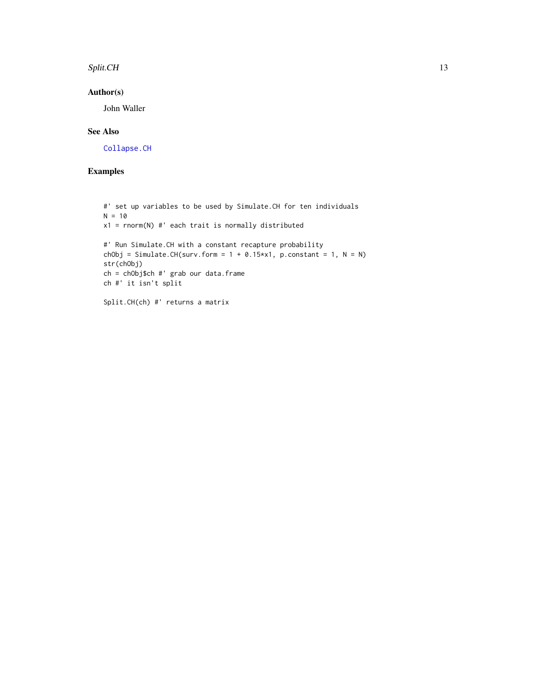#### <span id="page-12-0"></span>Split.CH 13

# Author(s)

John Waller

# See Also

[Collapse.CH](#page-1-1)

```
#' set up variables to be used by Simulate.CH for ten individuals
N = 10x1 = rnorm(N) #' each trait is normally distributed
#' Run Simulate.CH with a constant recapture probability
chObj = Simulate.CH(surv.form = 1 + 0.15*x1, p.constant = 1, N = N)
str(chObj)
ch = chObj$ch #' grab our data.frame
ch #' it isn't split
Split.CH(ch) #' returns a matrix
```